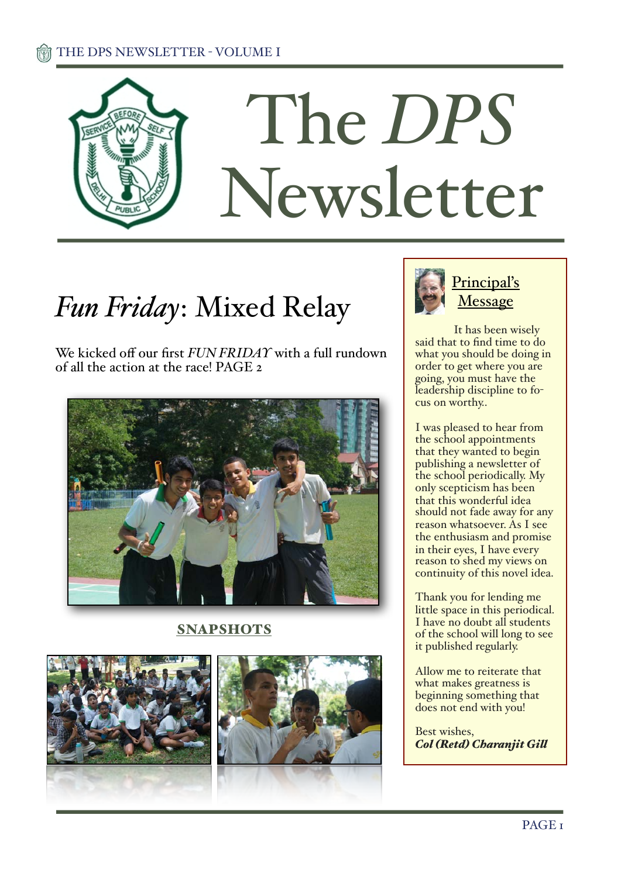

# *Fun Friday*: Mixed Relay

We kicked off our first *FUN FRIDAY* with a full rundown of all the action at the race! PAGE 2



SNAPSHOTS





It has been wisely said that to find time to do what you should be doing in order to get where you are going, you must have the leadership discipline to focus on worthy..

I was pleased to hear from the school appointments that they wanted to begin publishing a newsletter of the school periodically. My only scepticism has been that this wonderful idea should not fade away for any reason whatsoever. As I see the enthusiasm and promise in their eyes, I have every reason to shed my views on continuity of this novel idea.

Thank you for lending me little space in this periodical. I have no doubt all students of the school will long to see it published regularly.

Allow me to reiterate that what makes greatness is beginning something that does not end with you!

Best wishes, *Col (Retd) Charanjit Gil*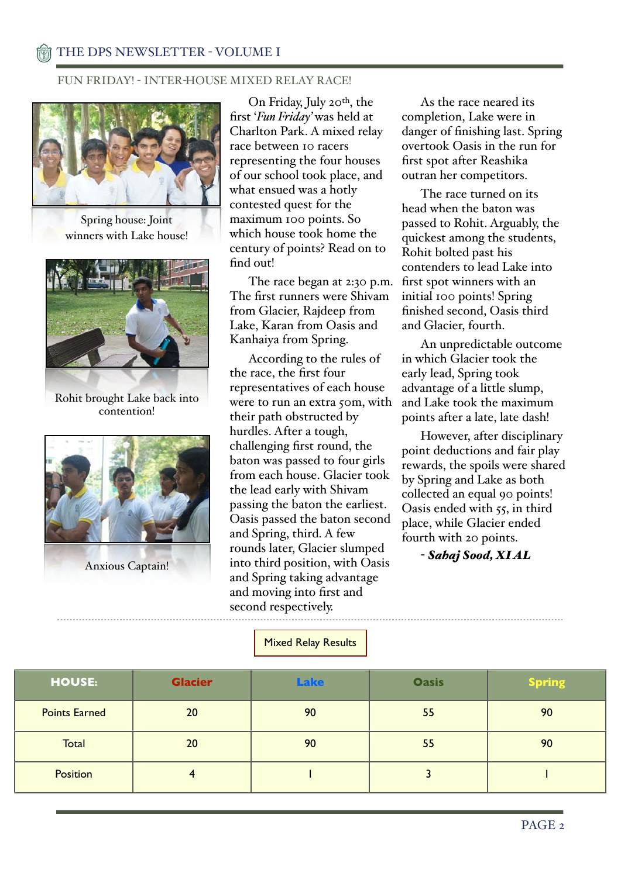#### FUN FRIDAY! - INTER-HOUSE MIXED RELAY RACE!



Spring house: Joint winners with Lake house!



Rohit brought Lake back into contention!



Anxious Captain!

On Friday, July 20<sup>th</sup>, the first '*Fun Friday'* was held at Charlton Park. A mixed relay race between 10 racers representing the four houses of our school took place, and what ensued was a hotly contested quest for the maximum 100 points. So which house took home the century of points? Read on to find out!

The race began at 2:30 p.m. The first runners were Shivam from Glacier, Rajdeep from Lake, Karan from Oasis and Kanhaiya from Spring.

According to the rules of the race, the first four representatives of each house were to run an extra 50m, with their path obstructed by hurdles. After a tough, challenging first round, the baton was passed to four girls from each house. Glacier took the lead early with Shivam passing the baton the earliest. Oasis passed the baton second and Spring, third. A few rounds later, Glacier slumped into third position, with Oasis and Spring taking advantage and moving into first and second respectively.

As the race neared its completion, Lake were in danger of finishing last. Spring overtook Oasis in the run for first spot after Reashika outran her competitors.

The race turned on its head when the baton was passed to Rohit. Arguably, the quickest among the students, Rohit bolted past his contenders to lead Lake into first spot winners with an initial 100 points! Spring finished second, Oasis third and Glacier, fourth.

An unpredictable outcome in which Glacier took the early lead, Spring took advantage of a little slump, and Lake took the maximum points after a late, late dash!

However, after disciplinary point deductions and fair play rewards, the spoils were shared by Spring and Lake as both collected an equal 90 points! Oasis ended with 55, in third place, while Glacier ended fourth with 20 points.

- *Sahaj Sood, XI AL*

| <b>HOUSE:</b>        | <b>Glacier</b> | <b>Lake</b> | <b>Oasis</b> | <b>Spring</b> |
|----------------------|----------------|-------------|--------------|---------------|
| <b>Points Earned</b> | 20             | 90          | 55           | 90            |
| <b>Total</b>         | 20             | 90          | 55           | 90            |
| <b>Position</b>      |                |             |              |               |

Mixed Relay Results